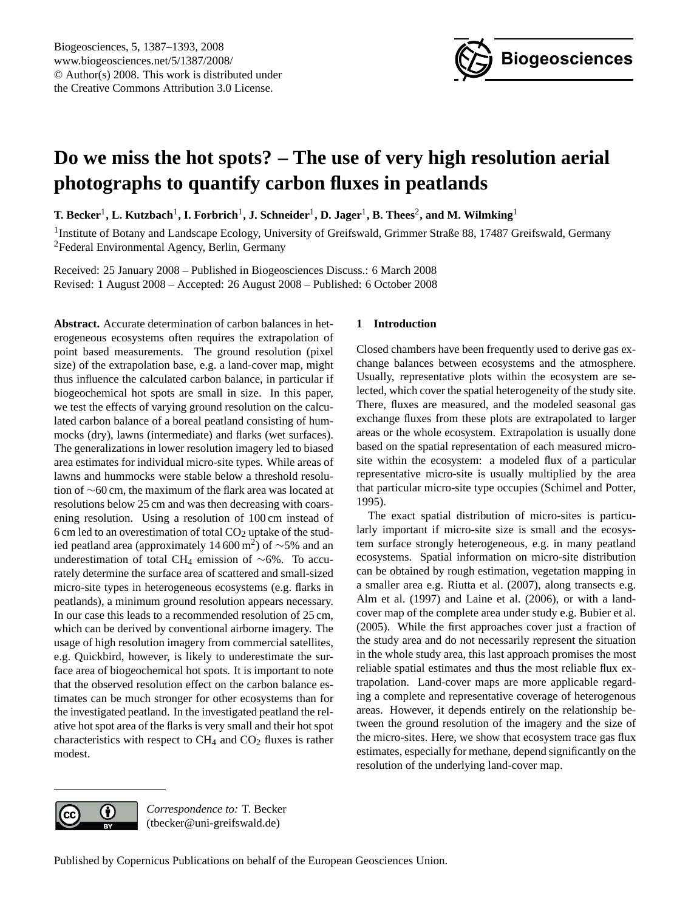

# <span id="page-0-0"></span>**Do we miss the hot spots? – The use of very high resolution aerial photographs to quantify carbon fluxes in peatlands**

 $\bf{T}.$  Becker<sup>1</sup>, L. Kutzbach<sup>1</sup>, I. Forbrich<sup>1</sup>, J. Schneider<sup>1</sup>, D. Jager<sup>1</sup>, B. Thees<sup>2</sup>, and M. Wilmking<sup>1</sup>

<sup>1</sup> Institute of Botany and Landscape Ecology, University of Greifswald, Grimmer Straße 88, 17487 Greifswald, Germany <sup>2</sup>Federal Environmental Agency, Berlin, Germany

Received: 25 January 2008 – Published in Biogeosciences Discuss.: 6 March 2008 Revised: 1 August 2008 – Accepted: 26 August 2008 – Published: 6 October 2008

**Abstract.** Accurate determination of carbon balances in heterogeneous ecosystems often requires the extrapolation of point based measurements. The ground resolution (pixel size) of the extrapolation base, e.g. a land-cover map, might thus influence the calculated carbon balance, in particular if biogeochemical hot spots are small in size. In this paper, we test the effects of varying ground resolution on the calculated carbon balance of a boreal peatland consisting of hummocks (dry), lawns (intermediate) and flarks (wet surfaces). The generalizations in lower resolution imagery led to biased area estimates for individual micro-site types. While areas of lawns and hummocks were stable below a threshold resolution of ∼60 cm, the maximum of the flark area was located at resolutions below 25 cm and was then decreasing with coarsening resolution. Using a resolution of 100 cm instead of 6 cm led to an overestimation of total  $CO<sub>2</sub>$  uptake of the studied peatland area (approximately 14 600 m<sup>2</sup>) of  $\sim$ 5% and an underestimation of total CH<sup>4</sup> emission of ∼6%. To accurately determine the surface area of scattered and small-sized micro-site types in heterogeneous ecosystems (e.g. flarks in peatlands), a minimum ground resolution appears necessary. In our case this leads to a recommended resolution of 25 cm, which can be derived by conventional airborne imagery. The usage of high resolution imagery from commercial satellites, e.g. Quickbird, however, is likely to underestimate the surface area of biogeochemical hot spots. It is important to note that the observed resolution effect on the carbon balance estimates can be much stronger for other ecosystems than for the investigated peatland. In the investigated peatland the relative hot spot area of the flarks is very small and their hot spot characteristics with respect to  $CH_4$  and  $CO_2$  fluxes is rather modest.

# **1 Introduction**

Closed chambers have been frequently used to derive gas exchange balances between ecosystems and the atmosphere. Usually, representative plots within the ecosystem are selected, which cover the spatial heterogeneity of the study site. There, fluxes are measured, and the modeled seasonal gas exchange fluxes from these plots are extrapolated to larger areas or the whole ecosystem. Extrapolation is usually done based on the spatial representation of each measured microsite within the ecosystem: a modeled flux of a particular representative micro-site is usually multiplied by the area that particular micro-site type occupies [\(Schimel and Potter,](#page-6-0) [1995\)](#page-6-0).

The exact spatial distribution of micro-sites is particularly important if micro-site size is small and the ecosystem surface strongly heterogeneous, e.g. in many peatland ecosystems. Spatial information on micro-site distribution can be obtained by rough estimation, vegetation mapping in a smaller area e.g. [Riutta et al.](#page-6-1) [\(2007\)](#page-6-1), along transects e.g. [Alm et al.](#page-5-0) [\(1997\)](#page-5-0) and [Laine et al.](#page-6-2) [\(2006\)](#page-6-2), or with a landcover map of the complete area under study e.g. [Bubier et al.](#page-5-1) [\(2005\)](#page-5-1). While the first approaches cover just a fraction of the study area and do not necessarily represent the situation in the whole study area, this last approach promises the most reliable spatial estimates and thus the most reliable flux extrapolation. Land-cover maps are more applicable regarding a complete and representative coverage of heterogenous areas. However, it depends entirely on the relationship between the ground resolution of the imagery and the size of the micro-sites. Here, we show that ecosystem trace gas flux estimates, especially for methane, depend significantly on the resolution of the underlying land-cover map.



*Correspondence to:* T. Becker (tbecker@uni-greifswald.de)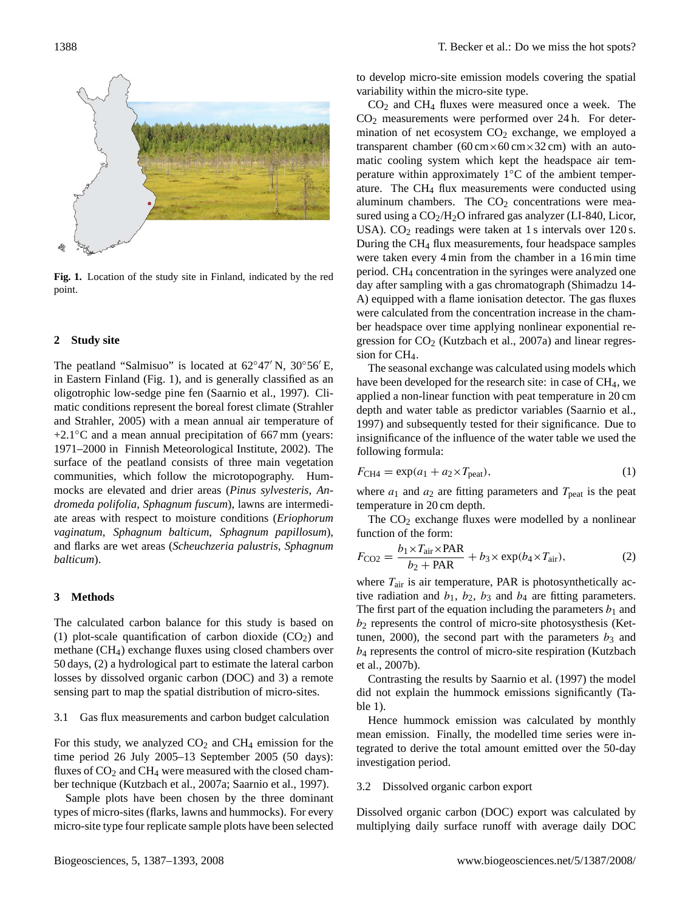

<span id="page-1-0"></span>**Fig. 1.** Location of the study site in Finland, indicated by the red point.

#### **2 Study site**

The peatland "Salmisuo" is located at  $62°47'$  N,  $30°56'E$ , in Eastern Finland (Fig. [1\)](#page-1-0), and is generally classified as an oligotrophic low-sedge pine fen [\(Saarnio et al.,](#page-6-3) [1997\)](#page-6-3). Climatic conditions represent the boreal forest climate [\(Strahler](#page-6-4) [and Strahler,](#page-6-4) [2005\)](#page-6-4) with a mean annual air temperature of +2.1◦C and a mean annual precipitation of 667 mm (years: 1971–2000 in [Finnish Meteorological Institute,](#page-5-2) [2002\)](#page-5-2). The surface of the peatland consists of three main vegetation communities, which follow the microtopography. Hummocks are elevated and drier areas (*Pinus sylvesteris*, *Andromeda polifolia*, *Sphagnum fuscum*), lawns are intermediate areas with respect to moisture conditions (*Eriophorum vaginatum*, *Sphagnum balticum*, *Sphagnum papillosum*), and flarks are wet areas (*Scheuchzeria palustris*, *Sphagnum balticum*).

#### **3 Methods**

The calculated carbon balance for this study is based on (1) plot-scale quantification of carbon dioxide  $(CO_2)$  and methane (CH4) exchange fluxes using closed chambers over 50 days, (2) a hydrological part to estimate the lateral carbon losses by dissolved organic carbon (DOC) and 3) a remote sensing part to map the spatial distribution of micro-sites.

## 3.1 Gas flux measurements and carbon budget calculation

For this study, we analyzed  $CO<sub>2</sub>$  and  $CH<sub>4</sub>$  emission for the time period 26 July 2005–13 September 2005 (50 days): fluxes of  $CO<sub>2</sub>$  and  $CH<sub>4</sub>$  were measured with the closed chamber technique [\(Kutzbach et al.,](#page-5-3) [2007a;](#page-5-3) [Saarnio et al.,](#page-6-3) [1997\)](#page-6-3).

Sample plots have been chosen by the three dominant types of micro-sites (flarks, lawns and hummocks). For every micro-site type four replicate sample plots have been selected to develop micro-site emission models covering the spatial variability within the micro-site type.

 $CO<sub>2</sub>$  and  $CH<sub>4</sub>$  fluxes were measured once a week. The CO<sup>2</sup> measurements were performed over 24 h. For determination of net ecosystem  $CO<sub>2</sub>$  exchange, we employed a transparent chamber  $(60 \text{ cm} \times 60 \text{ cm} \times 32 \text{ cm})$  with an automatic cooling system which kept the headspace air temperature within approximately 1◦C of the ambient temperature. The CH<sup>4</sup> flux measurements were conducted using aluminum chambers. The  $CO<sub>2</sub>$  concentrations were measured using a  $CO<sub>2</sub>/H<sub>2</sub>O$  infrared gas analyzer (LI-840, Licor, USA).  $CO<sub>2</sub>$  readings were taken at 1 s intervals over 120 s. During the CH<sup>4</sup> flux measurements, four headspace samples were taken every 4 min from the chamber in a 16 min time period. CH<sup>4</sup> concentration in the syringes were analyzed one day after sampling with a gas chromatograph (Shimadzu 14- A) equipped with a flame ionisation detector. The gas fluxes were calculated from the concentration increase in the chamber headspace over time applying nonlinear exponential regression for  $CO<sub>2</sub>$  [\(Kutzbach et al.,](#page-5-3) [2007a\)](#page-5-3) and linear regression for CH<sub>4</sub>.

The seasonal exchange was calculated using models which have been developed for the research site: in case of CH<sub>4</sub>, we applied a non-linear function with peat temperature in 20 cm depth and water table as predictor variables [\(Saarnio et al.,](#page-6-3) [1997\)](#page-6-3) and subsequently tested for their significance. Due to insignificance of the influence of the water table we used the following formula:

<span id="page-1-1"></span>
$$
F_{\text{CH4}} = \exp(a_1 + a_2 \times T_{\text{peak}}),\tag{1}
$$

where  $a_1$  and  $a_2$  are fitting parameters and  $T_{\text{peak}}$  is the peat temperature in 20 cm depth.

The  $CO<sub>2</sub>$  exchange fluxes were modelled by a nonlinear function of the form:

<span id="page-1-2"></span>
$$
F_{\rm CO2} = \frac{b_1 \times T_{\rm air} \times \rm PAR}{b_2 + \rm PAR} + b_3 \times \exp(b_4 \times T_{\rm air}),\tag{2}
$$

where  $T_{\text{air}}$  is air temperature, PAR is photosynthetically active radiation and  $b_1$ ,  $b_2$ ,  $b_3$  and  $b_4$  are fitting parameters. The first part of the equation including the parameters  $b_1$  and  $b_2$  represents the control of micro-site photosysthesis [\(Ket](#page-5-4)[tunen,](#page-5-4) [2000\)](#page-5-4), the second part with the parameters  $b_3$  and b<sup>4</sup> represents the control of micro-site respiration [\(Kutzbach](#page-6-5) [et al.,](#page-6-5) [2007b\)](#page-6-5).

Contrasting the results by [Saarnio et al.](#page-6-3) [\(1997\)](#page-6-3) the model did not explain the hummock emissions significantly (Table [1\)](#page-2-0).

Hence hummock emission was calculated by monthly mean emission. Finally, the modelled time series were integrated to derive the total amount emitted over the 50-day investigation period.

# 3.2 Dissolved organic carbon export

Dissolved organic carbon (DOC) export was calculated by multiplying daily surface runoff with average daily DOC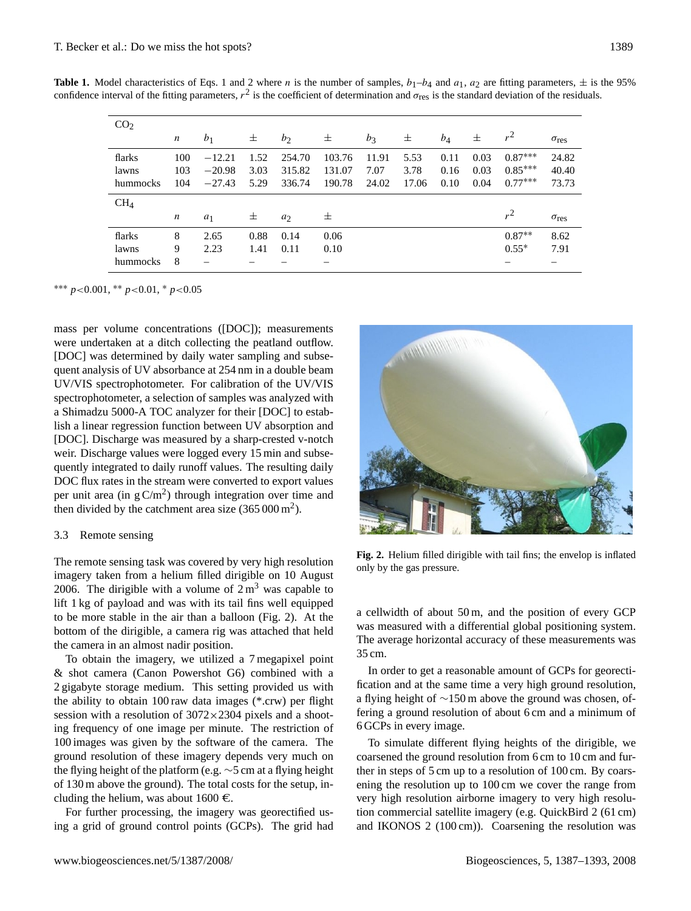| <b>Table 1.</b> Model characteristics of Eqs. 1 and 2 where <i>n</i> is the number of samples, $b_1-b_4$ and $a_1$ , $a_2$ are fitting parameters, $\pm$ is the 95% |  |  |  |  |
|---------------------------------------------------------------------------------------------------------------------------------------------------------------------|--|--|--|--|
| confidence interval of the fitting parameters, $r^2$ is the coefficient of determination and $\sigma_{res}$ is the standard deviation of the residuals.             |  |  |  |  |

<span id="page-2-0"></span>

| CO <sub>2</sub> |                  |                |      |        |        |       |       |       |      |           |                    |
|-----------------|------------------|----------------|------|--------|--------|-------|-------|-------|------|-----------|--------------------|
|                 | $\boldsymbol{n}$ | b <sub>1</sub> | 士    | $b_2$  | 士      | $b_3$ | 士     | $b_4$ | 士    | $r^2$     | $\sigma$ res       |
| flarks          | 100              | $-12.21$       | 1.52 | 254.70 | 103.76 | 11.91 | 5.53  | 0.11  | 0.03 | $0.87***$ | 24.82              |
| lawns           | 103              | $-20.98$       | 3.03 | 315.82 | 131.07 | 7.07  | 3.78  | 0.16  | 0.03 | $0.85***$ | 40.40              |
| hummocks        | 104              | $-27.43$       | 5.29 | 336.74 | 190.78 | 24.02 | 17.06 | 0.10  | 0.04 | $0.77***$ | 73.73              |
| CH <sub>4</sub> |                  |                |      |        |        |       |       |       |      |           |                    |
|                 | $\boldsymbol{n}$ | $a_1$          | 士    | $a_2$  | 士      |       |       |       |      | $r^2$     | $\sigma_{\rm res}$ |
| flarks          | 8                | 2.65           | 0.88 | 0.14   | 0.06   |       |       |       |      | $0.87**$  | 8.62               |
| lawns           | 9                | 2.23           | 1.41 | 0.11   | 0.10   |       |       |       |      | $0.55*$   | 7.91               |
| hummocks        | 8                |                |      |        |        |       |       |       |      |           |                    |

∗∗∗ *p*<0.001, ∗∗ *p*<0.01, <sup>∗</sup> *p*<0.05

mass per volume concentrations ([DOC]); measurements were undertaken at a ditch collecting the peatland outflow. [DOC] was determined by daily water sampling and subsequent analysis of UV absorbance at 254 nm in a double beam UV/VIS spectrophotometer. For calibration of the UV/VIS spectrophotometer, a selection of samples was analyzed with a Shimadzu 5000-A TOC analyzer for their [DOC] to establish a linear regression function between UV absorption and [DOC]. Discharge was measured by a sharp-crested v-notch weir. Discharge values were logged every 15 min and subsequently integrated to daily runoff values. The resulting daily DOC flux rates in the stream were converted to export values per unit area (in  $gC/m^2$ ) through integration over time and then divided by the catchment area size  $(365\,000\,\text{m}^2)$ .

## 3.3 Remote sensing

The remote sensing task was covered by very high resolution imagery taken from a helium filled dirigible on 10 August 2006. The dirigible with a volume of  $2 \text{ m}^3$  was capable to lift 1 kg of payload and was with its tail fins well equipped to be more stable in the air than a balloon (Fig. [2\)](#page-2-1). At the bottom of the dirigible, a camera rig was attached that held the camera in an almost nadir position.

To obtain the imagery, we utilized a 7 megapixel point & shot camera (Canon Powershot G6) combined with a 2 gigabyte storage medium. This setting provided us with the ability to obtain 100 raw data images (\*.crw) per flight session with a resolution of  $3072 \times 2304$  pixels and a shooting frequency of one image per minute. The restriction of 100 images was given by the software of the camera. The ground resolution of these imagery depends very much on the flying height of the platform (e.g. ∼5 cm at a flying height of 130 m above the ground). The total costs for the setup, including the helium, was about 1600  $\epsilon$ .

For further processing, the imagery was georectified using a grid of ground control points (GCPs). The grid had



**Fig. 2.** Helium filled dirigible with tail fins; the envelop is inflated only by the gas pressure.

<span id="page-2-1"></span>a cellwidth of about 50 m, and the position of every GCP was measured with a differential global positioning system. The average horizontal accuracy of these measurements was 35 cm.

In order to get a reasonable amount of GCPs for georectification and at the same time a very high ground resolution, a flying height of ∼150 m above the ground was chosen, offering a ground resolution of about 6 cm and a minimum of 6 GCPs in every image.

To simulate different flying heights of the dirigible, we coarsened the ground resolution from 6 cm to 10 cm and further in steps of 5 cm up to a resolution of 100 cm. By coarsening the resolution up to 100 cm we cover the range from very high resolution airborne imagery to very high resolution commercial satellite imagery (e.g. QuickBird 2 (61 cm) and IKONOS 2 (100 cm)). Coarsening the resolution was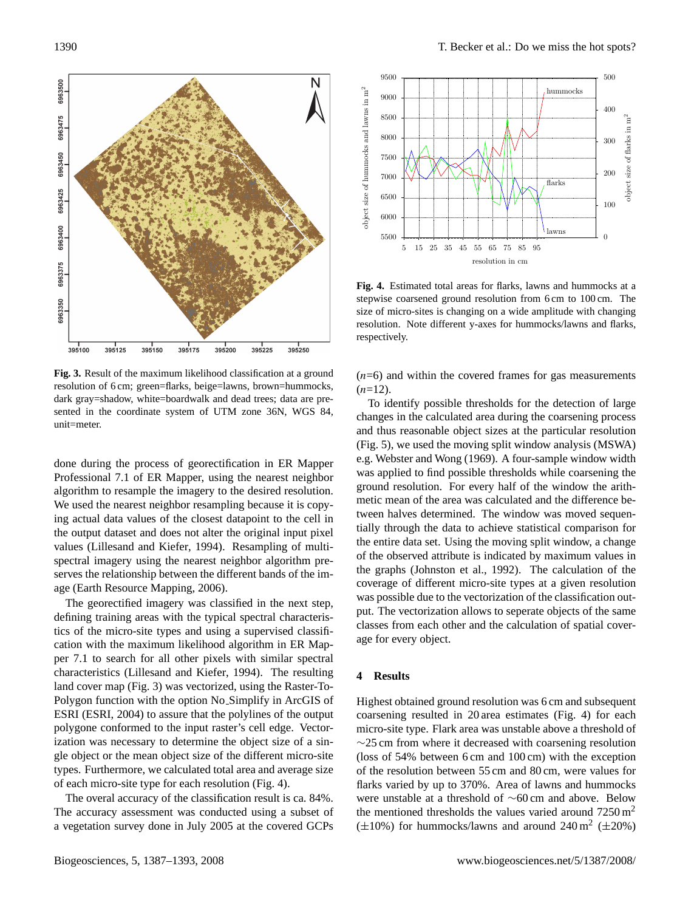

<span id="page-3-0"></span>**Fig. 3.** Result of the maximum likelihood classification at a ground resolution of 6 cm; green=flarks, beige=lawns, brown=hummocks, dark gray=shadow, white=boardwalk and dead trees; data are presented in the coordinate system of UTM zone 36N, WGS 84, unit=meter.

done during the process of georectification in ER Mapper Professional 7.1 of ER Mapper, using the nearest neighbor algorithm to resample the imagery to the desired resolution. We used the nearest neighbor resampling because it is copying actual data values of the closest datapoint to the cell in the output dataset and does not alter the original input pixel values [\(Lillesand and Kiefer,](#page-6-6) [1994\)](#page-6-6). Resampling of multispectral imagery using the nearest neighbor algorithm preserves the relationship between the different bands of the image [\(Earth Resource Mapping,](#page-5-5) [2006\)](#page-5-5).

The georectified imagery was classified in the next step, defining training areas with the typical spectral characteristics of the micro-site types and using a supervised classification with the maximum likelihood algorithm in ER Mapper 7.1 to search for all other pixels with similar spectral characteristics [\(Lillesand and Kiefer,](#page-6-6) [1994\)](#page-6-6). The resulting land cover map (Fig. [3\)](#page-3-0) was vectorized, using the Raster-To-Polygon function with the option No Simplify in ArcGIS of ESRI [\(ESRI,](#page-5-6) [2004\)](#page-5-6) to assure that the polylines of the output polygone conformed to the input raster's cell edge. Vectorization was necessary to determine the object size of a single object or the mean object size of the different micro-site types. Furthermore, we calculated total area and average size of each micro-site type for each resolution (Fig. [4\)](#page-3-1).

The overal accuracy of the classification result is ca. 84%. The accuracy assessment was conducted using a subset of a vegetation survey done in July 2005 at the covered GCPs



<span id="page-3-1"></span>**Fig. 4.** Estimated total areas for flarks, lawns and hummocks at a stepwise coarsened ground resolution from 6 cm to 100 cm. The size of micro-sites is changing on a wide amplitude with changing resolution. Note different y-axes for hummocks/lawns and flarks, respectively.

 $(n=6)$  and within the covered frames for gas measurements  $(n=12)$ .

To identify possible thresholds for the detection of large changes in the calculated area during the coarsening process and thus reasonable object sizes at the particular resolution (Fig. [5\)](#page-4-0), we used the moving split window analysis (MSWA) e.g. [Webster and Wong](#page-6-7) [\(1969\)](#page-6-7). A four-sample window width was applied to find possible thresholds while coarsening the ground resolution. For every half of the window the arithmetic mean of the area was calculated and the difference between halves determined. The window was moved sequentially through the data to achieve statistical comparison for the entire data set. Using the moving split window, a change of the observed attribute is indicated by maximum values in the graphs [\(Johnston et al.,](#page-5-7) [1992\)](#page-5-7). The calculation of the coverage of different micro-site types at a given resolution was possible due to the vectorization of the classification output. The vectorization allows to seperate objects of the same classes from each other and the calculation of spatial coverage for every object.

## **4 Results**

Highest obtained ground resolution was 6 cm and subsequent coarsening resulted in 20 area estimates (Fig. [4\)](#page-3-1) for each micro-site type. Flark area was unstable above a threshold of ∼25 cm from where it decreased with coarsening resolution (loss of 54% between 6 cm and 100 cm) with the exception of the resolution between 55 cm and 80 cm, were values for flarks varied by up to 370%. Area of lawns and hummocks were unstable at a threshold of ∼60 cm and above. Below the mentioned thresholds the values varied around  $7250 \text{ m}^2$  $(\pm 10\%)$  for hummocks/lawns and around 240 m<sup>2</sup> ( $\pm 20\%$ )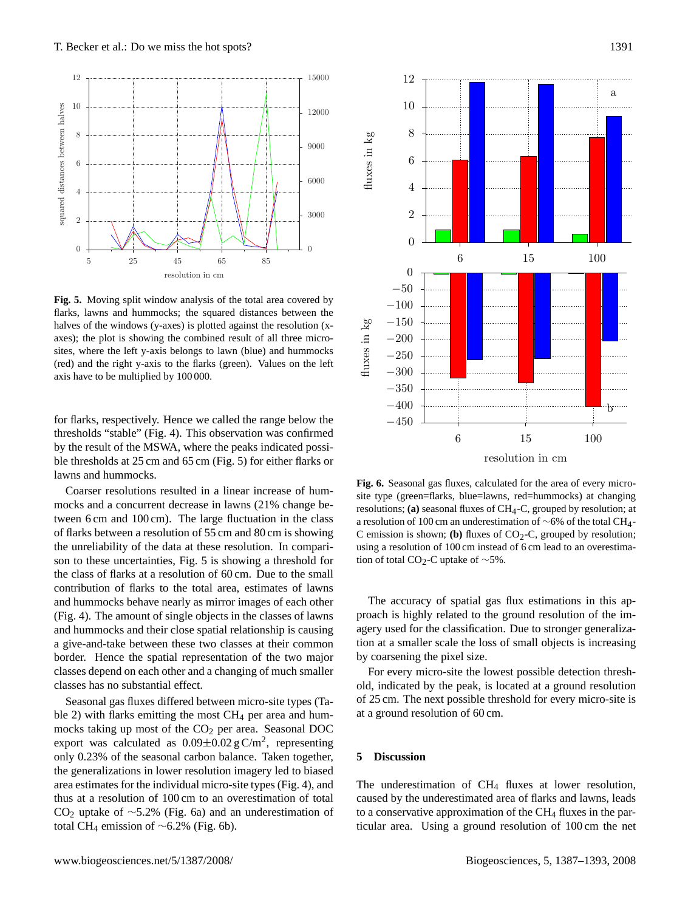

<span id="page-4-0"></span>**Fig. 5.** Moving split window analysis of the total area covered by flarks, lawns and hummocks; the squared distances between the halves of the windows (y-axes) is plotted against the resolution (xaxes); the plot is showing the combined result of all three microsites, where the left y-axis belongs to lawn (blue) and hummocks (red) and the right y-axis to the flarks (green). Values on the left axis have to be multiplied by 100 000.

for flarks, respectively. Hence we called the range below the thresholds "stable" (Fig. [4\)](#page-3-1). This observation was confirmed by the result of the MSWA, where the peaks indicated possible thresholds at 25 cm and 65 cm (Fig. [5\)](#page-4-0) for either flarks or lawns and hummocks.

and hummocks behave nearly as mirror images of each other Coarser resolutions resulted in a linear increase of hummocks and a concurrent decrease in lawns (21% change between 6 cm and 100 cm). The large fluctuation in the class of flarks between a resolution of 55 cm and 80 cm is showing the unreliability of the data at these resolution. In comparison to these uncertainties, Fig. [5](#page-4-0) is showing a threshold for the class of flarks at a resolution of 60 cm. Due to the small contribution of flarks to the total area, estimates of lawns (Fig. [4\)](#page-3-1). The amount of single objects in the classes of lawns and hummocks and their close spatial relationship is causing a give-and-take between these two classes at their common border. Hence the spatial representation of the two major classes depend on each other and a changing of much smaller classes has no substantial effect.

Seasonal gas fluxes differed between micro-site types (Ta-ble [2\)](#page-5-8) with flarks emitting the most  $CH<sub>4</sub>$  per area and hummocks taking up most of the  $CO<sub>2</sub>$  per area. Seasonal DOC export was calculated as  $0.09 \pm 0.02$  gC/m<sup>2</sup>, representing only 0.23% of the seasonal carbon balance. Taken together, the generalizations in lower resolution imagery led to biased area estimates for the individual micro-site types (Fig. [4\)](#page-3-1), and thus at a resolution of 100 cm to an overestimation of total CO<sup>2</sup> uptake of ∼5.2% (Fig. [6a](#page-4-1)) and an underestimation of total CH<sup>4</sup> emission of ∼6.2% (Fig. [6b](#page-4-1)).



<span id="page-4-1"></span>**Fig. 6.** Seasonal gas fluxes, calculated for the area of every microsite type (green=flarks, blue=lawns, red=hummocks) at changing resolutions; **(a)** seasonal fluxes of CH4-C, grouped by resolution; at a resolution of 100 cm an underestimation of ∼6% of the total CH4- C emission is shown; **(b)** fluxes of CO<sub>2</sub>-C, grouped by resolution; using a resolution of 100 cm instead of 6 cm lead to an overestimation of total CO<sub>2</sub>-C uptake of ~5%.

The accuracy of spatial gas flux estimations in this approach is highly related to the ground resolution of the imagery used for the classification. Due to stronger generalization at a smaller scale the loss of small objects is increasing by coarsening the pixel size.

For every micro-site the lowest possible detection threshold, indicated by the peak, is located at a ground resolution of 25 cm. The next possible threshold for every micro-site is at a ground resolution of 60 cm.

# **5 Discussion**

The underestimation of CH<sub>4</sub> fluxes at lower resolution, caused by the underestimated area of flarks and lawns, leads to a conservative approximation of the CH<sub>4</sub> fluxes in the particular area. Using a ground resolution of 100 cm the net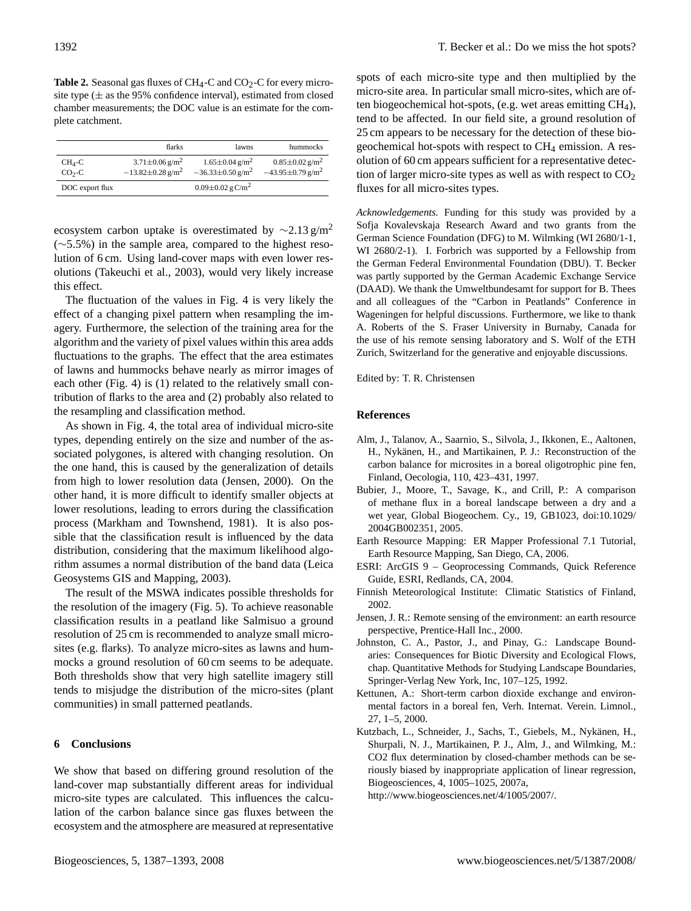<span id="page-5-8"></span>Table 2. Seasonal gas fluxes of CH<sub>4</sub>-C and CO<sub>2</sub>-C for every microsite type ( $\pm$  as the 95% confidence interval), estimated from closed chamber measurements; the DOC value is an estimate for the complete catchment.

|                     | flarks                                                                 | lawns                                                                  | hummocks                                                               |
|---------------------|------------------------------------------------------------------------|------------------------------------------------------------------------|------------------------------------------------------------------------|
| $CH_4-C$<br>$CO2-C$ | $3.71 \pm 0.06$ g/m <sup>2</sup><br>$-13.82 \pm 0.28$ g/m <sup>2</sup> | $1.65 \pm 0.04$ g/m <sup>2</sup><br>$-36.33 \pm 0.50$ g/m <sup>2</sup> | $0.85 \pm 0.02$ g/m <sup>2</sup><br>$-43.95 \pm 0.79$ g/m <sup>2</sup> |
| DOC export flux     |                                                                        | $0.09 \pm 0.02$ g C/m <sup>2</sup>                                     |                                                                        |

ecosystem carbon uptake is overestimated by  $\sim$ 2.13 g/m<sup>2</sup> (∼5.5%) in the sample area, compared to the highest resolution of 6 cm. Using land-cover maps with even lower resolutions [\(Takeuchi et al.,](#page-6-8) [2003\)](#page-6-8), would very likely increase this effect.

The fluctuation of the values in Fig. [4](#page-3-1) is very likely the effect of a changing pixel pattern when resampling the imagery. Furthermore, the selection of the training area for the algorithm and the variety of pixel values within this area adds fluctuations to the graphs. The effect that the area estimates of lawns and hummocks behave nearly as mirror images of each other (Fig. [4\)](#page-3-1) is (1) related to the relatively small contribution of flarks to the area and (2) probably also related to the resampling and classification method.

As shown in Fig. [4,](#page-3-1) the total area of individual micro-site types, depending entirely on the size and number of the associated polygones, is altered with changing resolution. On the one hand, this is caused by the generalization of details from high to lower resolution data [\(Jensen,](#page-5-9) [2000\)](#page-5-9). On the other hand, it is more difficult to identify smaller objects at lower resolutions, leading to errors during the classification process [\(Markham and Townshend,](#page-6-9) [1981\)](#page-6-9). It is also possible that the classification result is influenced by the data distribution, considering that the maximum likelihood algorithm assumes a normal distribution of the band data [\(Leica](#page-6-10) [Geosystems GIS and Mapping,](#page-6-10) [2003\)](#page-6-10).

The result of the MSWA indicates possible thresholds for the resolution of the imagery (Fig. [5\)](#page-4-0). To achieve reasonable classification results in a peatland like Salmisuo a ground resolution of 25 cm is recommended to analyze small microsites (e.g. flarks). To analyze micro-sites as lawns and hummocks a ground resolution of 60 cm seems to be adequate. Both thresholds show that very high satellite imagery still tends to misjudge the distribution of the micro-sites (plant communities) in small patterned peatlands.

#### **6 Conclusions**

We show that based on differing ground resolution of the land-cover map substantially different areas for individual micro-site types are calculated. This influences the calculation of the carbon balance since gas fluxes between the ecosystem and the atmosphere are measured at representative spots of each micro-site type and then multiplied by the micro-site area. In particular small micro-sites, which are often biogeochemical hot-spots, (e.g. wet areas emitting CH4), tend to be affected. In our field site, a ground resolution of 25 cm appears to be necessary for the detection of these biogeochemical hot-spots with respect to  $CH_4$  emission. A resolution of 60 cm appears sufficient for a representative detection of larger micro-site types as well as with respect to  $CO<sub>2</sub>$ fluxes for all micro-sites types.

*Acknowledgements.* Funding for this study was provided by a Sofja Kovalevskaja Research Award and two grants from the German Science Foundation (DFG) to M. Wilmking (WI 2680/1-1, WI 2680/2-1). I. Forbrich was supported by a Fellowship from the German Federal Environmental Foundation (DBU). T. Becker was partly supported by the German Academic Exchange Service (DAAD). We thank the Umweltbundesamt for support for B. Thees and all colleagues of the "Carbon in Peatlands" Conference in Wageningen for helpful discussions. Furthermore, we like to thank A. Roberts of the S. Fraser University in Burnaby, Canada for the use of his remote sensing laboratory and S. Wolf of the ETH Zurich, Switzerland for the generative and enjoyable discussions.

Edited by: T. R. Christensen

#### **References**

- <span id="page-5-0"></span>Alm, J., Talanov, A., Saarnio, S., Silvola, J., Ikkonen, E., Aaltonen, H., Nykänen, H., and Martikainen, P. J.: Reconstruction of the carbon balance for microsites in a boreal oligotrophic pine fen, Finland, Oecologia, 110, 423–431, 1997.
- <span id="page-5-1"></span>Bubier, J., Moore, T., Savage, K., and Crill, P.: A comparison of methane flux in a boreal landscape between a dry and a wet year, Global Biogeochem. Cy., 19, GB1023, doi:10.1029/ 2004GB002351, 2005.
- <span id="page-5-5"></span>Earth Resource Mapping: ER Mapper Professional 7.1 Tutorial, Earth Resource Mapping, San Diego, CA, 2006.
- <span id="page-5-6"></span>ESRI: ArcGIS 9 – Geoprocessing Commands, Quick Reference Guide, ESRI, Redlands, CA, 2004.
- <span id="page-5-2"></span>Finnish Meteorological Institute: Climatic Statistics of Finland, 2002.
- <span id="page-5-9"></span>Jensen, J. R.: Remote sensing of the environment: an earth resource perspective, Prentice-Hall Inc., 2000.
- <span id="page-5-7"></span>Johnston, C. A., Pastor, J., and Pinay, G.: Landscape Boundaries: Consequences for Biotic Diversity and Ecological Flows, chap. Quantitative Methods for Studying Landscape Boundaries, Springer-Verlag New York, Inc, 107–125, 1992.
- <span id="page-5-4"></span>Kettunen, A.: Short-term carbon dioxide exchange and environmental factors in a boreal fen, Verh. Internat. Verein. Limnol., 27, 1–5, 2000.
- <span id="page-5-3"></span>Kutzbach, L., Schneider, J., Sachs, T., Giebels, M., Nykänen, H., Shurpali, N. J., Martikainen, P. J., Alm, J., and Wilmking, M.: CO2 flux determination by closed-chamber methods can be seriously biased by inappropriate application of linear regression, Biogeosciences, 4, 1005–1025, 2007a,
	- [http://www.biogeosciences.net/4/1005/2007/.](http://www.biogeosciences.net/4/1005/2007/)